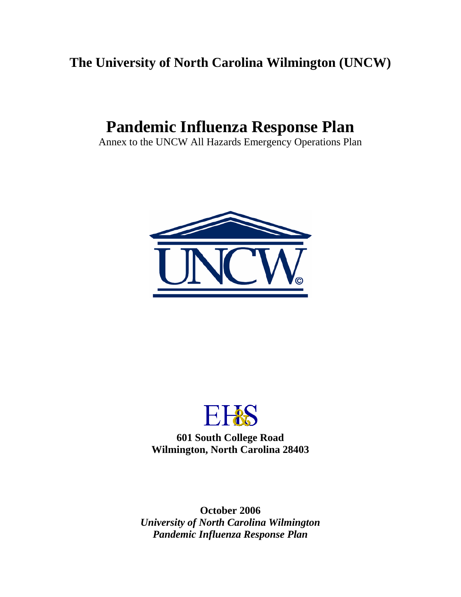# **The University of North Carolina Wilmington (UNCW)**

# **Pandemic Influenza Response Plan**

Annex to the UNCW All Hazards Emergency Operations Plan





**601 South College Road Wilmington, North Carolina 28403** 

**October 2006**  *University of North Carolina Wilmington Pandemic Influenza Response Plan*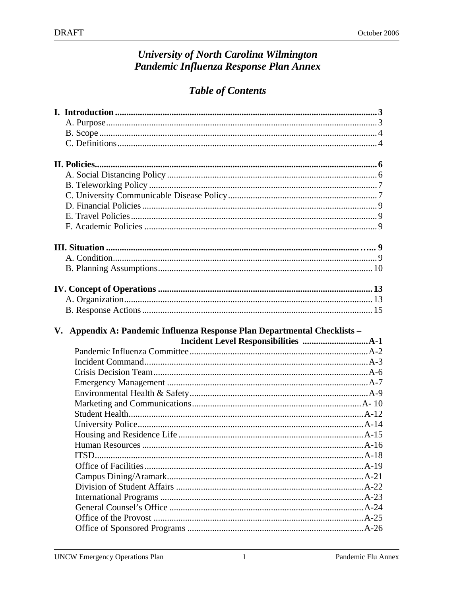# **University of North Carolina Wilmington** Pandemic Influenza Response Plan Annex

# **Table of Contents**

| V. Appendix A: Pandemic Influenza Response Plan Departmental Checklists - |  |
|---------------------------------------------------------------------------|--|
|                                                                           |  |
|                                                                           |  |
|                                                                           |  |
|                                                                           |  |
|                                                                           |  |
|                                                                           |  |
|                                                                           |  |
|                                                                           |  |
|                                                                           |  |
|                                                                           |  |
| <b>ITSD</b>                                                               |  |
|                                                                           |  |
|                                                                           |  |
|                                                                           |  |
|                                                                           |  |
|                                                                           |  |
|                                                                           |  |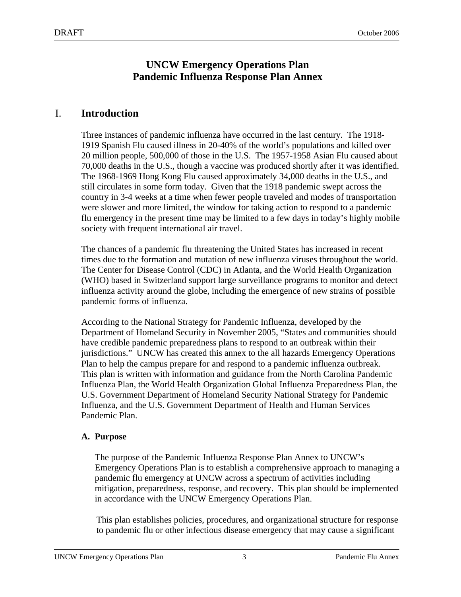## **UNCW Emergency Operations Plan Pandemic Influenza Response Plan Annex**

## I. **Introduction**

Three instances of pandemic influenza have occurred in the last century. The 1918- 1919 Spanish Flu caused illness in 20-40% of the world's populations and killed over 20 million people, 500,000 of those in the U.S. The 1957-1958 Asian Flu caused about 70,000 deaths in the U.S., though a vaccine was produced shortly after it was identified. The 1968-1969 Hong Kong Flu caused approximately 34,000 deaths in the U.S., and still circulates in some form today. Given that the 1918 pandemic swept across the country in 3-4 weeks at a time when fewer people traveled and modes of transportation were slower and more limited, the window for taking action to respond to a pandemic flu emergency in the present time may be limited to a few days in today's highly mobile society with frequent international air travel.

The chances of a pandemic flu threatening the United States has increased in recent times due to the formation and mutation of new influenza viruses throughout the world. The Center for Disease Control (CDC) in Atlanta, and the World Health Organization (WHO) based in Switzerland support large surveillance programs to monitor and detect influenza activity around the globe, including the emergence of new strains of possible pandemic forms of influenza.

According to the National Strategy for Pandemic Influenza, developed by the Department of Homeland Security in November 2005, "States and communities should have credible pandemic preparedness plans to respond to an outbreak within their jurisdictions." UNCW has created this annex to the all hazards Emergency Operations Plan to help the campus prepare for and respond to a pandemic influenza outbreak. This plan is written with information and guidance from the North Carolina Pandemic Influenza Plan, the World Health Organization Global Influenza Preparedness Plan, the U.S. Government Department of Homeland Security National Strategy for Pandemic Influenza, and the U.S. Government Department of Health and Human Services Pandemic Plan.

#### **A. Purpose**

The purpose of the Pandemic Influenza Response Plan Annex to UNCW's Emergency Operations Plan is to establish a comprehensive approach to managing a pandemic flu emergency at UNCW across a spectrum of activities including mitigation, preparedness, response, and recovery. This plan should be implemented in accordance with the UNCW Emergency Operations Plan.

This plan establishes policies, procedures, and organizational structure for response to pandemic flu or other infectious disease emergency that may cause a significant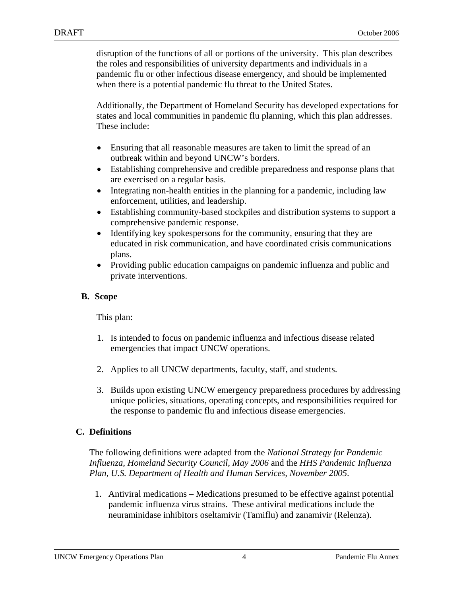disruption of the functions of all or portions of the university. This plan describes the roles and responsibilities of university departments and individuals in a pandemic flu or other infectious disease emergency, and should be implemented when there is a potential pandemic flu threat to the United States.

Additionally, the Department of Homeland Security has developed expectations for states and local communities in pandemic flu planning, which this plan addresses. These include:

- Ensuring that all reasonable measures are taken to limit the spread of an outbreak within and beyond UNCW's borders.
- Establishing comprehensive and credible preparedness and response plans that are exercised on a regular basis.
- Integrating non-health entities in the planning for a pandemic, including law enforcement, utilities, and leadership.
- Establishing community-based stockpiles and distribution systems to support a comprehensive pandemic response.
- Identifying key spokespersons for the community, ensuring that they are educated in risk communication, and have coordinated crisis communications plans.
- Providing public education campaigns on pandemic influenza and public and private interventions.

## **B. Scope**

This plan:

- 1. Is intended to focus on pandemic influenza and infectious disease related emergencies that impact UNCW operations.
- 2. Applies to all UNCW departments, faculty, staff, and students.
- 3. Builds upon existing UNCW emergency preparedness procedures by addressing unique policies, situations, operating concepts, and responsibilities required for the response to pandemic flu and infectious disease emergencies.

### **C. Definitions**

The following definitions were adapted from the *National Strategy for Pandemic Influenza, Homeland Security Council, May 2006* and the *HHS Pandemic Influenza Plan, U.S. Department of Health and Human Services, November 2005*.

1. Antiviral medications – Medications presumed to be effective against potential pandemic influenza virus strains. These antiviral medications include the neuraminidase inhibitors oseltamivir (Tamiflu) and zanamivir (Relenza).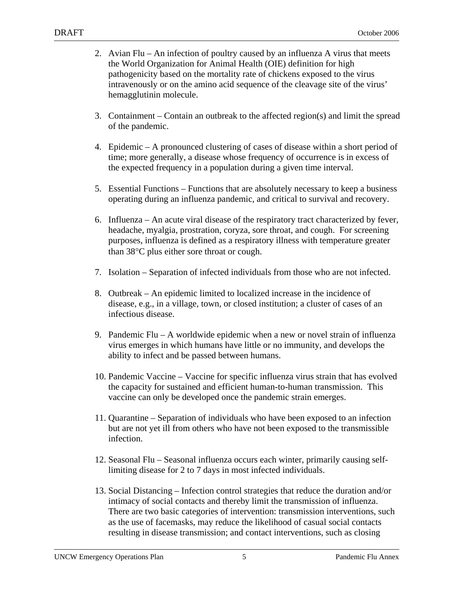- 2. Avian Flu An infection of poultry caused by an influenza A virus that meets the World Organization for Animal Health (OIE) definition for high pathogenicity based on the mortality rate of chickens exposed to the virus intravenously or on the amino acid sequence of the cleavage site of the virus' hemagglutinin molecule.
- 3. Containment Contain an outbreak to the affected region(s) and limit the spread of the pandemic.
- 4. Epidemic A pronounced clustering of cases of disease within a short period of time; more generally, a disease whose frequency of occurrence is in excess of the expected frequency in a population during a given time interval.
- 5. Essential Functions Functions that are absolutely necessary to keep a business operating during an influenza pandemic, and critical to survival and recovery.
- 6. Influenza An acute viral disease of the respiratory tract characterized by fever, headache, myalgia, prostration, coryza, sore throat, and cough. For screening purposes, influenza is defined as a respiratory illness with temperature greater than 38°C plus either sore throat or cough.
- 7. Isolation Separation of infected individuals from those who are not infected.
- 8. Outbreak An epidemic limited to localized increase in the incidence of disease, e.g., in a village, town, or closed institution; a cluster of cases of an infectious disease.
- 9. Pandemic Flu A worldwide epidemic when a new or novel strain of influenza virus emerges in which humans have little or no immunity, and develops the ability to infect and be passed between humans.
- 10. Pandemic Vaccine Vaccine for specific influenza virus strain that has evolved the capacity for sustained and efficient human-to-human transmission. This vaccine can only be developed once the pandemic strain emerges.
- 11. Quarantine Separation of individuals who have been exposed to an infection but are not yet ill from others who have not been exposed to the transmissible infection.
- 12. Seasonal Flu Seasonal influenza occurs each winter, primarily causing selflimiting disease for 2 to 7 days in most infected individuals.
- 13. Social Distancing Infection control strategies that reduce the duration and/or intimacy of social contacts and thereby limit the transmission of influenza. There are two basic categories of intervention: transmission interventions, such as the use of facemasks, may reduce the likelihood of casual social contacts resulting in disease transmission; and contact interventions, such as closing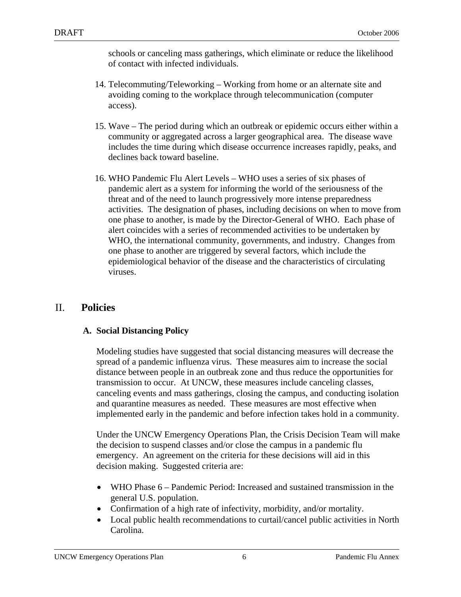schools or canceling mass gatherings, which eliminate or reduce the likelihood of contact with infected individuals.

- 14. Telecommuting/Teleworking Working from home or an alternate site and avoiding coming to the workplace through telecommunication (computer access).
- 15. Wave The period during which an outbreak or epidemic occurs either within a community or aggregated across a larger geographical area. The disease wave includes the time during which disease occurrence increases rapidly, peaks, and declines back toward baseline.
- 16. WHO Pandemic Flu Alert Levels WHO uses a series of six phases of pandemic alert as a system for informing the world of the seriousness of the threat and of the need to launch progressively more intense preparedness activities. The designation of phases, including decisions on when to move from one phase to another, is made by the Director-General of WHO. Each phase of alert coincides with a series of recommended activities to be undertaken by WHO, the international community, governments, and industry. Changes from one phase to another are triggered by several factors, which include the epidemiological behavior of the disease and the characteristics of circulating viruses.

## II. **Policies**

### **A. Social Distancing Policy**

Modeling studies have suggested that social distancing measures will decrease the spread of a pandemic influenza virus. These measures aim to increase the social distance between people in an outbreak zone and thus reduce the opportunities for transmission to occur. At UNCW, these measures include canceling classes, canceling events and mass gatherings, closing the campus, and conducting isolation and quarantine measures as needed. These measures are most effective when implemented early in the pandemic and before infection takes hold in a community.

Under the UNCW Emergency Operations Plan, the Crisis Decision Team will make the decision to suspend classes and/or close the campus in a pandemic flu emergency. An agreement on the criteria for these decisions will aid in this decision making. Suggested criteria are:

- WHO Phase 6 Pandemic Period: Increased and sustained transmission in the general U.S. population.
- Confirmation of a high rate of infectivity, morbidity, and/or mortality.
- Local public health recommendations to curtail/cancel public activities in North Carolina.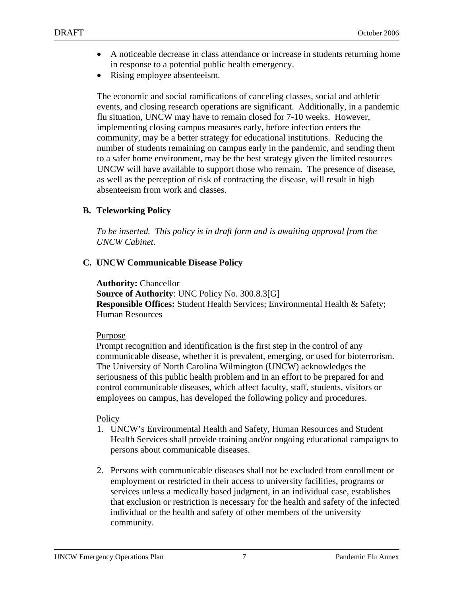- A noticeable decrease in class attendance or increase in students returning home in response to a potential public health emergency.
- Rising employee absenteeism.

The economic and social ramifications of canceling classes, social and athletic events, and closing research operations are significant. Additionally, in a pandemic flu situation, UNCW may have to remain closed for 7-10 weeks. However, implementing closing campus measures early, before infection enters the community, may be a better strategy for educational institutions. Reducing the number of students remaining on campus early in the pandemic, and sending them to a safer home environment, may be the best strategy given the limited resources UNCW will have available to support those who remain. The presence of disease, as well as the perception of risk of contracting the disease, will result in high absenteeism from work and classes.

#### **B. Teleworking Policy**

*To be inserted. This policy is in draft form and is awaiting approval from the UNCW Cabinet.* 

#### **C. UNCW Communicable Disease Policy**

**Authority:** Chancellor **Source of Authority**: UNC Policy No. 300.8.3[G] **Responsible Offices:** Student Health Services; Environmental Health & Safety; Human Resources

#### Purpose

Prompt recognition and identification is the first step in the control of any communicable disease, whether it is prevalent, emerging, or used for bioterrorism. The University of North Carolina Wilmington (UNCW) acknowledges the seriousness of this public health problem and in an effort to be prepared for and control communicable diseases, which affect faculty, staff, students, visitors or employees on campus, has developed the following policy and procedures.

#### **Policy**

- 1. UNCW's Environmental Health and Safety, Human Resources and Student Health Services shall provide training and/or ongoing educational campaigns to persons about communicable diseases.
- 2. Persons with communicable diseases shall not be excluded from enrollment or employment or restricted in their access to university facilities, programs or services unless a medically based judgment, in an individual case, establishes that exclusion or restriction is necessary for the health and safety of the infected individual or the health and safety of other members of the university community.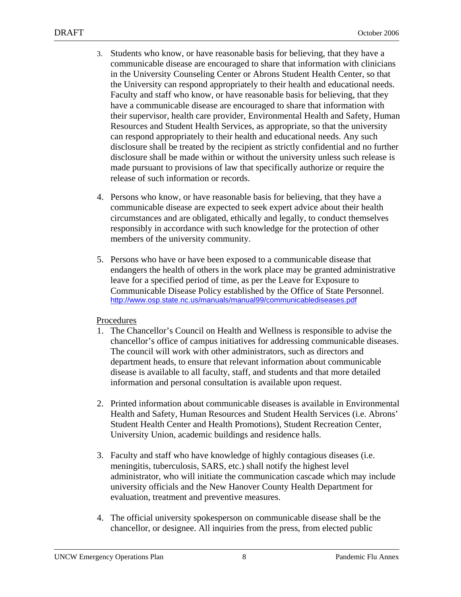- 3. Students who know, or have reasonable basis for believing, that they have a communicable disease are encouraged to share that information with clinicians in the University Counseling Center or Abrons Student Health Center, so that the University can respond appropriately to their health and educational needs. Faculty and staff who know, or have reasonable basis for believing, that they have a communicable disease are encouraged to share that information with their supervisor, health care provider, Environmental Health and Safety, Human Resources and Student Health Services, as appropriate, so that the university can respond appropriately to their health and educational needs. Any such disclosure shall be treated by the recipient as strictly confidential and no further disclosure shall be made within or without the university unless such release is made pursuant to provisions of law that specifically authorize or require the release of such information or records.
- 4. Persons who know, or have reasonable basis for believing, that they have a communicable disease are expected to seek expert advice about their health circumstances and are obligated, ethically and legally, to conduct themselves responsibly in accordance with such knowledge for the protection of other members of the university community.
- 5. Persons who have or have been exposed to a communicable disease that endangers the health of others in the work place may be granted administrative leave for a specified period of time, as per the Leave for Exposure to Communicable Disease Policy established by the Office of State Personnel. http://www.osp.state.nc.us/manuals/manual99/communicablediseases.pdf

#### Procedures

- 1. The Chancellor's Council on Health and Wellness is responsible to advise the chancellor's office of campus initiatives for addressing communicable diseases. The council will work with other administrators, such as directors and department heads, to ensure that relevant information about communicable disease is available to all faculty, staff, and students and that more detailed information and personal consultation is available upon request.
- 2. Printed information about communicable diseases is available in Environmental Health and Safety, Human Resources and Student Health Services (i.e. Abrons' Student Health Center and Health Promotions), Student Recreation Center, University Union, academic buildings and residence halls.
- 3. Faculty and staff who have knowledge of highly contagious diseases (i.e. meningitis, tuberculosis, SARS, etc.) shall notify the highest level administrator, who will initiate the communication cascade which may include university officials and the New Hanover County Health Department for evaluation, treatment and preventive measures.
- 4. The official university spokesperson on communicable disease shall be the chancellor, or designee. All inquiries from the press, from elected public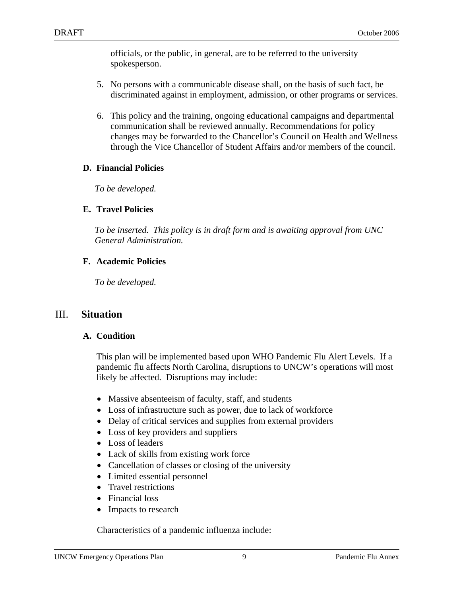officials, or the public, in general, are to be referred to the university spokesperson.

- 5. No persons with a communicable disease shall, on the basis of such fact, be discriminated against in employment, admission, or other programs or services.
- 6. This policy and the training, ongoing educational campaigns and departmental communication shall be reviewed annually. Recommendations for policy changes may be forwarded to the Chancellor's Council on Health and Wellness through the Vice Chancellor of Student Affairs and/or members of the council.

#### **D. Financial Policies**

*To be developed.* 

#### **E. Travel Policies**

*To be inserted. This policy is in draft form and is awaiting approval from UNC General Administration.* 

#### **F. Academic Policies**

*To be developed.* 

### III. **Situation**

#### **A. Condition**

This plan will be implemented based upon WHO Pandemic Flu Alert Levels. If a pandemic flu affects North Carolina, disruptions to UNCW's operations will most likely be affected. Disruptions may include:

- Massive absenteeism of faculty, staff, and students
- Loss of infrastructure such as power, due to lack of workforce
- Delay of critical services and supplies from external providers
- Loss of key providers and suppliers
- Loss of leaders
- Lack of skills from existing work force
- Cancellation of classes or closing of the university
- Limited essential personnel
- Travel restrictions
- Financial loss
- Impacts to research

Characteristics of a pandemic influenza include: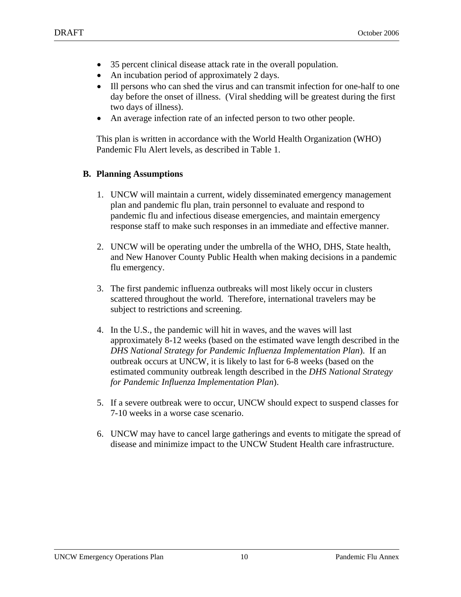- 35 percent clinical disease attack rate in the overall population.
- An incubation period of approximately 2 days.
- Ill persons who can shed the virus and can transmit infection for one-half to one day before the onset of illness. (Viral shedding will be greatest during the first two days of illness).
- An average infection rate of an infected person to two other people.

This plan is written in accordance with the World Health Organization (WHO) Pandemic Flu Alert levels, as described in Table 1.

#### **B. Planning Assumptions**

- 1. UNCW will maintain a current, widely disseminated emergency management plan and pandemic flu plan, train personnel to evaluate and respond to pandemic flu and infectious disease emergencies, and maintain emergency response staff to make such responses in an immediate and effective manner.
- 2. UNCW will be operating under the umbrella of the WHO, DHS, State health, and New Hanover County Public Health when making decisions in a pandemic flu emergency.
- 3. The first pandemic influenza outbreaks will most likely occur in clusters scattered throughout the world. Therefore, international travelers may be subject to restrictions and screening.
- 4. In the U.S., the pandemic will hit in waves, and the waves will last approximately 8-12 weeks (based on the estimated wave length described in the *DHS National Strategy for Pandemic Influenza Implementation Plan*). If an outbreak occurs at UNCW, it is likely to last for 6-8 weeks (based on the estimated community outbreak length described in the *DHS National Strategy for Pandemic Influenza Implementation Plan*).
- 5. If a severe outbreak were to occur, UNCW should expect to suspend classes for 7-10 weeks in a worse case scenario.
- 6. UNCW may have to cancel large gatherings and events to mitigate the spread of disease and minimize impact to the UNCW Student Health care infrastructure.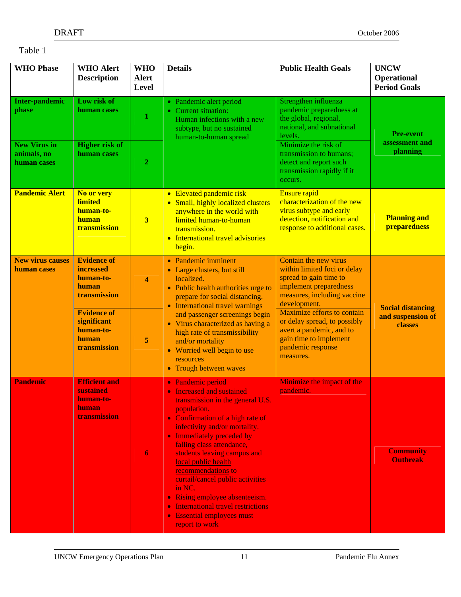#### Table 1

| <b>WHO Phase</b>                                  | <b>WHO Alert</b><br><b>Description</b>                                                                                                                  | <b>WHO</b><br><b>Alert</b><br>Level | <b>Details</b>                                                                                                                                                                                                                                                                                                                                                                                                                                                                                                                     | <b>Public Health Goals</b>                                                                                                                                                                                                                                                                                      | <b>UNCW</b><br><b>Operational</b><br><b>Period Goals</b> |  |
|---------------------------------------------------|---------------------------------------------------------------------------------------------------------------------------------------------------------|-------------------------------------|------------------------------------------------------------------------------------------------------------------------------------------------------------------------------------------------------------------------------------------------------------------------------------------------------------------------------------------------------------------------------------------------------------------------------------------------------------------------------------------------------------------------------------|-----------------------------------------------------------------------------------------------------------------------------------------------------------------------------------------------------------------------------------------------------------------------------------------------------------------|----------------------------------------------------------|--|
| <b>Inter-pandemic</b><br>phase                    | Low risk of<br>human cases                                                                                                                              | 1                                   | • Pandemic alert period<br>• Current situation:<br>Human infections with a new<br>subtype, but no sustained<br>human-to-human spread                                                                                                                                                                                                                                                                                                                                                                                               | Strengthen influenza<br>pandemic preparedness at<br>the global, regional,<br>national, and subnational<br>levels.                                                                                                                                                                                               | <b>Pre-event</b><br>assessment and                       |  |
| <b>New Virus in</b><br>animals, no<br>human cases | <b>Higher risk of</b><br>human cases                                                                                                                    | $\boldsymbol{2}$                    |                                                                                                                                                                                                                                                                                                                                                                                                                                                                                                                                    | Minimize the risk of<br>transmission to humans;<br>detect and report such<br>transmission rapidly if it<br>occurs.                                                                                                                                                                                              | planning                                                 |  |
| Pandemic Alert                                    | No or very<br><b>limited</b><br>human-to-<br>human<br>transmission                                                                                      | $\overline{\mathbf{3}}$             | • Elevated pandemic risk<br>• Small, highly localized clusters<br>anywhere in the world with<br>limited human-to-human<br>transmission.<br>International travel advisories<br>begin.                                                                                                                                                                                                                                                                                                                                               | <b>Ensure rapid</b><br>characterization of the new<br>virus subtype and early<br>detection, notification and<br>response to additional cases.                                                                                                                                                                   | <b>Planning and</b><br>preparedness                      |  |
| <b>New virus causes</b><br>human cases            | <b>Evidence of</b><br><b>increased</b><br>human-to-<br>human<br>transmission<br><b>Evidence of</b><br>significant<br>human-to-<br>human<br>transmission | $\overline{\mathbf{4}}$<br>5        | • Pandemic imminent<br>• Large clusters, but still<br>localized.<br>• Public health authorities urge to<br>prepare for social distancing.<br>• International travel warnings<br>and passenger screenings begin<br>• Virus characterized as having a<br>high rate of transmissibility<br>and/or mortality<br>• Worried well begin to use<br>resources<br>• Trough between waves                                                                                                                                                     | Contain the new virus<br>within limited foci or delay<br>spread to gain time to<br>implement preparedness<br>measures, including vaccine<br>development.<br>Maximize efforts to contain<br>or delay spread, to possibly<br>avert a pandemic, and to<br>gain time to implement<br>pandemic response<br>measures. | <b>Social distancing</b><br>and suspension of<br>classes |  |
| <b>Pandemic</b>                                   | <b>Efficient and</b><br>sustained<br>human-to-<br>human<br>transmission                                                                                 | $\boldsymbol{6}$                    | • Pandemic period<br>• Increased and sustained<br>transmission in the general U.S.<br>population.<br>• Confirmation of a high rate of<br>infectivity and/or mortality.<br>• Immediately preceded by<br>falling class attendance,<br>students leaving campus and<br>local public health<br>recommendations to<br>curtail/cancel public activities<br>in NC.<br>Rising employee absenteeism.<br>$\bullet$<br><b>International travel restrictions</b><br>$\bullet$<br><b>Essential employees must</b><br>$\bullet$<br>report to work | Minimize the impact of the<br>pandemic.                                                                                                                                                                                                                                                                         | <b>Community</b><br><b>Outbreak</b>                      |  |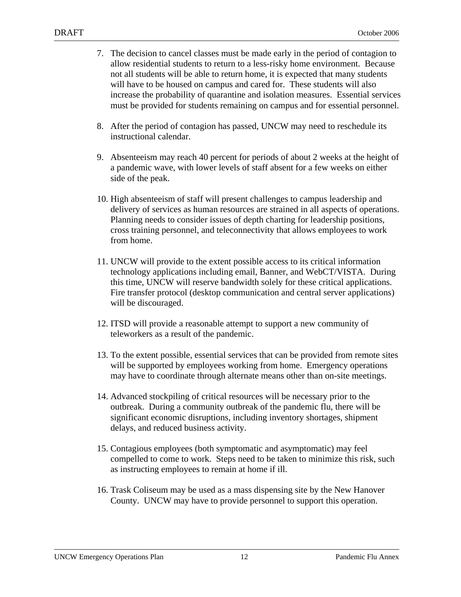- 7. The decision to cancel classes must be made early in the period of contagion to allow residential students to return to a less-risky home environment. Because not all students will be able to return home, it is expected that many students will have to be housed on campus and cared for. These students will also increase the probability of quarantine and isolation measures. Essential services must be provided for students remaining on campus and for essential personnel.
- 8. After the period of contagion has passed, UNCW may need to reschedule its instructional calendar.
- 9. Absenteeism may reach 40 percent for periods of about 2 weeks at the height of a pandemic wave, with lower levels of staff absent for a few weeks on either side of the peak.
- 10. High absenteeism of staff will present challenges to campus leadership and delivery of services as human resources are strained in all aspects of operations. Planning needs to consider issues of depth charting for leadership positions, cross training personnel, and teleconnectivity that allows employees to work from home.
- 11. UNCW will provide to the extent possible access to its critical information technology applications including email, Banner, and WebCT/VISTA. During this time, UNCW will reserve bandwidth solely for these critical applications. Fire transfer protocol (desktop communication and central server applications) will be discouraged.
- 12. ITSD will provide a reasonable attempt to support a new community of teleworkers as a result of the pandemic.
- 13. To the extent possible, essential services that can be provided from remote sites will be supported by employees working from home. Emergency operations may have to coordinate through alternate means other than on-site meetings.
- 14. Advanced stockpiling of critical resources will be necessary prior to the outbreak. During a community outbreak of the pandemic flu, there will be significant economic disruptions, including inventory shortages, shipment delays, and reduced business activity.
- 15. Contagious employees (both symptomatic and asymptomatic) may feel compelled to come to work. Steps need to be taken to minimize this risk, such as instructing employees to remain at home if ill.
- 16. Trask Coliseum may be used as a mass dispensing site by the New Hanover County. UNCW may have to provide personnel to support this operation.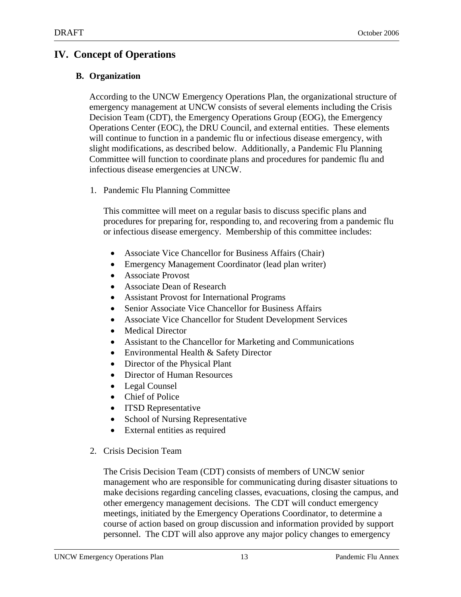## **IV. Concept of Operations**

#### **B. Organization**

According to the UNCW Emergency Operations Plan, the organizational structure of emergency management at UNCW consists of several elements including the Crisis Decision Team (CDT), the Emergency Operations Group (EOG), the Emergency Operations Center (EOC), the DRU Council, and external entities. These elements will continue to function in a pandemic flu or infectious disease emergency, with slight modifications, as described below. Additionally, a Pandemic Flu Planning Committee will function to coordinate plans and procedures for pandemic flu and infectious disease emergencies at UNCW.

1. Pandemic Flu Planning Committee

This committee will meet on a regular basis to discuss specific plans and procedures for preparing for, responding to, and recovering from a pandemic flu or infectious disease emergency. Membership of this committee includes:

- Associate Vice Chancellor for Business Affairs (Chair)
- Emergency Management Coordinator (lead plan writer)
- Associate Provost
- Associate Dean of Research
- Assistant Provost for International Programs
- Senior Associate Vice Chancellor for Business Affairs
- Associate Vice Chancellor for Student Development Services
- Medical Director
- Assistant to the Chancellor for Marketing and Communications
- Environmental Health & Safety Director
- Director of the Physical Plant
- Director of Human Resources
- Legal Counsel
- Chief of Police
- **ITSD Representative**
- School of Nursing Representative
- External entities as required
- 2. Crisis Decision Team

The Crisis Decision Team (CDT) consists of members of UNCW senior management who are responsible for communicating during disaster situations to make decisions regarding canceling classes, evacuations, closing the campus, and other emergency management decisions. The CDT will conduct emergency meetings, initiated by the Emergency Operations Coordinator, to determine a course of action based on group discussion and information provided by support personnel. The CDT will also approve any major policy changes to emergency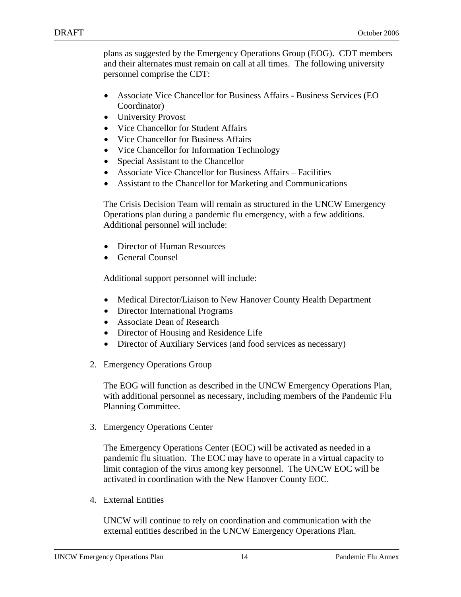plans as suggested by the Emergency Operations Group (EOG). CDT members and their alternates must remain on call at all times. The following university personnel comprise the CDT:

- Associate Vice Chancellor for Business Affairs Business Services (EO Coordinator)
- University Provost
- Vice Chancellor for Student Affairs
- Vice Chancellor for Business Affairs
- Vice Chancellor for Information Technology
- Special Assistant to the Chancellor
- Associate Vice Chancellor for Business Affairs Facilities
- Assistant to the Chancellor for Marketing and Communications

The Crisis Decision Team will remain as structured in the UNCW Emergency Operations plan during a pandemic flu emergency, with a few additions. Additional personnel will include:

- Director of Human Resources
- General Counsel

Additional support personnel will include:

- Medical Director/Liaison to New Hanover County Health Department
- Director International Programs
- Associate Dean of Research
- Director of Housing and Residence Life
- Director of Auxiliary Services (and food services as necessary)
- 2. Emergency Operations Group

The EOG will function as described in the UNCW Emergency Operations Plan, with additional personnel as necessary, including members of the Pandemic Flu Planning Committee.

3. Emergency Operations Center

The Emergency Operations Center (EOC) will be activated as needed in a pandemic flu situation. The EOC may have to operate in a virtual capacity to limit contagion of the virus among key personnel. The UNCW EOC will be activated in coordination with the New Hanover County EOC.

4. External Entities

UNCW will continue to rely on coordination and communication with the external entities described in the UNCW Emergency Operations Plan.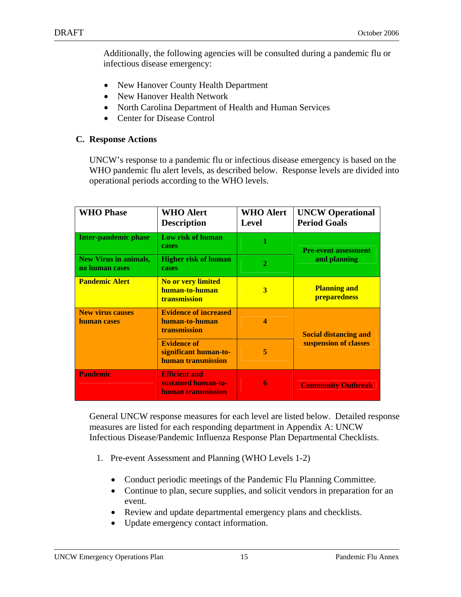Additionally, the following agencies will be consulted during a pandemic flu or infectious disease emergency:

- New Hanover County Health Department
- New Hanover Health Network
- North Carolina Department of Health and Human Services
- Center for Disease Control

#### **C. Response Actions**

UNCW's response to a pandemic flu or infectious disease emergency is based on the WHO pandemic flu alert levels, as described below. Response levels are divided into operational periods according to the WHO levels.

| <b>WHO Phase</b>                               | <b>WHO Alert</b><br><b>Description</b>                            | <b>WHO Alert</b><br>Level | <b>UNCW Operational</b><br><b>Period Goals</b> |  |
|------------------------------------------------|-------------------------------------------------------------------|---------------------------|------------------------------------------------|--|
| <b>Inter-pandemic phase</b>                    | Low risk of human<br>cases                                        | 1                         | <b>Pre-event assessment</b><br>and planning    |  |
| <b>New Virus in animals,</b><br>no human cases | <b>Higher risk of human</b><br>cases                              | $\overline{2}$            |                                                |  |
| <b>Pandemic Alert</b>                          | <b>No or very limited</b><br>human-to-human<br>transmission       | 3                         | <b>Planning and</b><br>preparedness            |  |
| <b>New virus causes</b><br>human cases         | <b>Evidence of increased</b><br>human-to-human<br>transmission    | 4                         | <b>Social distancing and</b>                   |  |
|                                                | <b>Evidence of</b><br>significant human-to-<br>human transmission | 5                         | suspension of classes                          |  |
| <b>Pandemic</b>                                | <b>Efficient and</b><br>sustained human-to-<br>human transmission | 6                         | <b>Community Outbreak</b>                      |  |

General UNCW response measures for each level are listed below. Detailed response measures are listed for each responding department in Appendix A: UNCW Infectious Disease/Pandemic Influenza Response Plan Departmental Checklists.

- 1. Pre-event Assessment and Planning (WHO Levels 1-2)
	- Conduct periodic meetings of the Pandemic Flu Planning Committee.
	- Continue to plan, secure supplies, and solicit vendors in preparation for an event.
	- Review and update departmental emergency plans and checklists.
	- Update emergency contact information.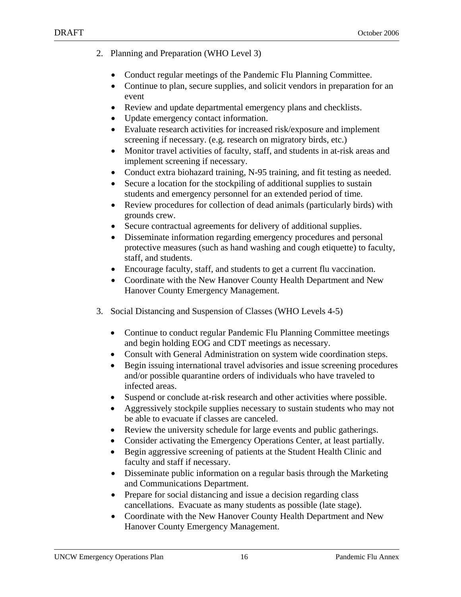- 2. Planning and Preparation (WHO Level 3)
	- Conduct regular meetings of the Pandemic Flu Planning Committee.
	- Continue to plan, secure supplies, and solicit vendors in preparation for an event
	- Review and update departmental emergency plans and checklists.
	- Update emergency contact information.
	- Evaluate research activities for increased risk/exposure and implement screening if necessary. (e.g. research on migratory birds, etc.)
	- Monitor travel activities of faculty, staff, and students in at-risk areas and implement screening if necessary.
	- Conduct extra biohazard training, N-95 training, and fit testing as needed.
	- Secure a location for the stockpiling of additional supplies to sustain students and emergency personnel for an extended period of time.
	- Review procedures for collection of dead animals (particularly birds) with grounds crew.
	- Secure contractual agreements for delivery of additional supplies.
	- Disseminate information regarding emergency procedures and personal protective measures (such as hand washing and cough etiquette) to faculty, staff, and students.
	- Encourage faculty, staff, and students to get a current flu vaccination.
	- Coordinate with the New Hanover County Health Department and New Hanover County Emergency Management.
- 3. Social Distancing and Suspension of Classes (WHO Levels 4-5)
	- Continue to conduct regular Pandemic Flu Planning Committee meetings and begin holding EOG and CDT meetings as necessary.
	- Consult with General Administration on system wide coordination steps.
	- Begin issuing international travel advisories and issue screening procedures and/or possible quarantine orders of individuals who have traveled to infected areas.
	- Suspend or conclude at-risk research and other activities where possible.
	- Aggressively stockpile supplies necessary to sustain students who may not be able to evacuate if classes are canceled.
	- Review the university schedule for large events and public gatherings.
	- Consider activating the Emergency Operations Center, at least partially.
	- Begin aggressive screening of patients at the Student Health Clinic and faculty and staff if necessary.
	- Disseminate public information on a regular basis through the Marketing and Communications Department.
	- Prepare for social distancing and issue a decision regarding class cancellations. Evacuate as many students as possible (late stage).
	- Coordinate with the New Hanover County Health Department and New Hanover County Emergency Management.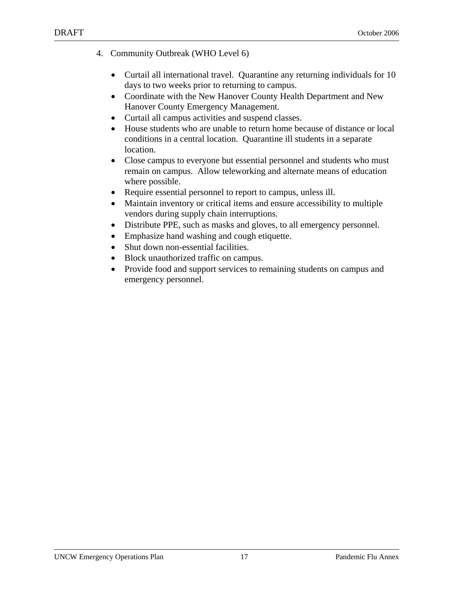- 4. Community Outbreak (WHO Level 6)
	- Curtail all international travel. Quarantine any returning individuals for 10 days to two weeks prior to returning to campus.
	- Coordinate with the New Hanover County Health Department and New Hanover County Emergency Management.
	- Curtail all campus activities and suspend classes.
	- House students who are unable to return home because of distance or local conditions in a central location. Quarantine ill students in a separate location.
	- Close campus to everyone but essential personnel and students who must remain on campus. Allow teleworking and alternate means of education where possible.
	- Require essential personnel to report to campus, unless ill.
	- Maintain inventory or critical items and ensure accessibility to multiple vendors during supply chain interruptions.
	- Distribute PPE, such as masks and gloves, to all emergency personnel.
	- Emphasize hand washing and cough etiquette.
	- Shut down non-essential facilities.
	- Block unauthorized traffic on campus.
	- Provide food and support services to remaining students on campus and emergency personnel.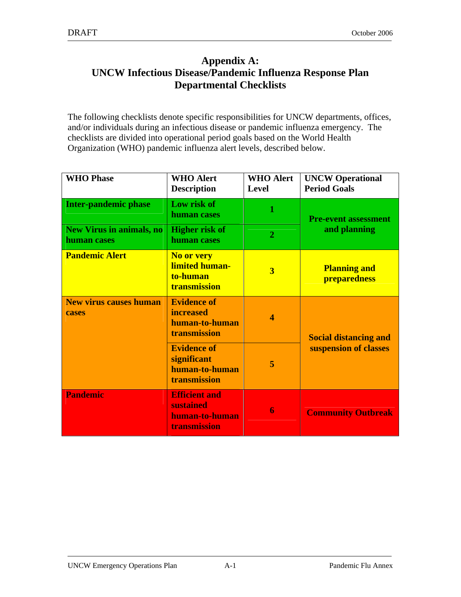## **Appendix A: UNCW Infectious Disease/Pandemic Influenza Response Plan Departmental Checklists**

The following checklists denote specific responsibilities for UNCW departments, offices, and/or individuals during an infectious disease or pandemic influenza emergency. The checklists are divided into operational period goals based on the World Health Organization (WHO) pandemic influenza alert levels, described below.

| <b>WHO Phase</b>                               | <b>WHO Alert</b><br><b>Description</b>                                   | <b>WHO Alert</b><br>Level | <b>UNCW Operational</b><br><b>Period Goals</b> |  |
|------------------------------------------------|--------------------------------------------------------------------------|---------------------------|------------------------------------------------|--|
| <b>Inter-pandemic phase</b>                    | Low risk of<br>human cases                                               | 1                         | <b>Pre-event assessment</b>                    |  |
| <b>New Virus in animals, no</b><br>human cases | <b>Higher risk of</b><br>human cases                                     | $\overline{2}$            | and planning                                   |  |
| <b>Pandemic Alert</b>                          | <b>No or very</b><br>limited human-<br>to-human<br><b>transmission</b>   | $\overline{\mathbf{3}}$   | <b>Planning and</b><br>preparedness            |  |
| <b>New virus causes human</b><br>cases         | <b>Evidence of</b><br><b>increased</b><br>human-to-human<br>transmission | $\overline{\mathbf{4}}$   | <b>Social distancing and</b>                   |  |
|                                                | <b>Evidence of</b><br>significant<br>human-to-human<br>transmission      | 5                         | suspension of classes                          |  |
| <b>Pandemic</b>                                | <b>Efficient and</b><br>sustained<br>human-to-human<br>transmission      | 6                         | <b>Community Outbreak</b>                      |  |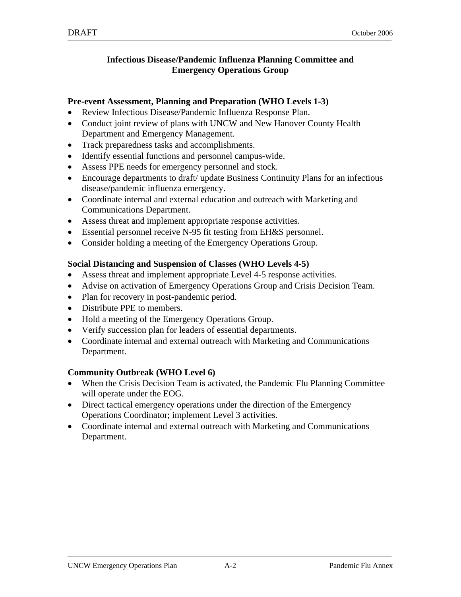#### **Infectious Disease/Pandemic Influenza Planning Committee and Emergency Operations Group**

#### **Pre-event Assessment, Planning and Preparation (WHO Levels 1-3)**

- Review Infectious Disease/Pandemic Influenza Response Plan.
- Conduct joint review of plans with UNCW and New Hanover County Health Department and Emergency Management.
- Track preparedness tasks and accomplishments.
- Identify essential functions and personnel campus-wide.
- Assess PPE needs for emergency personnel and stock.
- Encourage departments to draft/ update Business Continuity Plans for an infectious disease/pandemic influenza emergency.
- Coordinate internal and external education and outreach with Marketing and Communications Department.
- Assess threat and implement appropriate response activities.
- Essential personnel receive N-95 fit testing from EH&S personnel.
- Consider holding a meeting of the Emergency Operations Group.

#### **Social Distancing and Suspension of Classes (WHO Levels 4-5)**

- Assess threat and implement appropriate Level 4-5 response activities.
- Advise on activation of Emergency Operations Group and Crisis Decision Team.
- Plan for recovery in post-pandemic period.
- Distribute PPE to members.
- Hold a meeting of the Emergency Operations Group.
- Verify succession plan for leaders of essential departments.
- Coordinate internal and external outreach with Marketing and Communications Department.

- When the Crisis Decision Team is activated, the Pandemic Flu Planning Committee will operate under the EOG.
- Direct tactical emergency operations under the direction of the Emergency Operations Coordinator; implement Level 3 activities.
- Coordinate internal and external outreach with Marketing and Communications Department.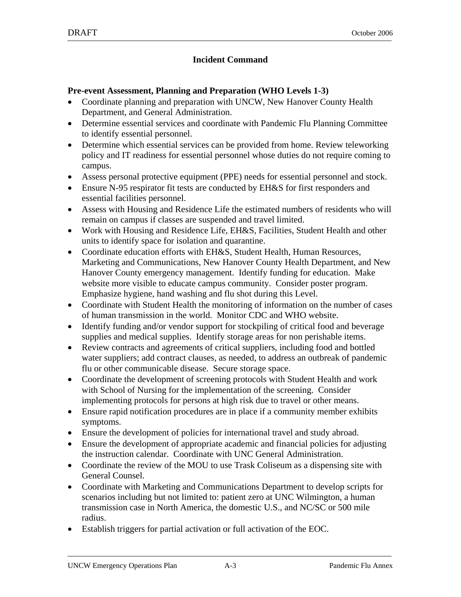### **Incident Command**

#### **Pre-event Assessment, Planning and Preparation (WHO Levels 1-3)**

- Coordinate planning and preparation with UNCW, New Hanover County Health Department, and General Administration.
- Determine essential services and coordinate with Pandemic Flu Planning Committee to identify essential personnel.
- Determine which essential services can be provided from home. Review teleworking policy and IT readiness for essential personnel whose duties do not require coming to campus.
- Assess personal protective equipment (PPE) needs for essential personnel and stock.
- Ensure N-95 respirator fit tests are conducted by EH&S for first responders and essential facilities personnel.
- Assess with Housing and Residence Life the estimated numbers of residents who will remain on campus if classes are suspended and travel limited.
- Work with Housing and Residence Life, EH&S, Facilities, Student Health and other units to identify space for isolation and quarantine.
- Coordinate education efforts with EH&S, Student Health, Human Resources, Marketing and Communications, New Hanover County Health Department, and New Hanover County emergency management. Identify funding for education. Make website more visible to educate campus community. Consider poster program. Emphasize hygiene, hand washing and flu shot during this Level.
- Coordinate with Student Health the monitoring of information on the number of cases of human transmission in the world. Monitor CDC and WHO website.
- Identify funding and/or vendor support for stockpiling of critical food and beverage supplies and medical supplies. Identify storage areas for non perishable items.
- Review contracts and agreements of critical suppliers, including food and bottled water suppliers; add contract clauses, as needed, to address an outbreak of pandemic flu or other communicable disease. Secure storage space.
- Coordinate the development of screening protocols with Student Health and work with School of Nursing for the implementation of the screening. Consider implementing protocols for persons at high risk due to travel or other means.
- Ensure rapid notification procedures are in place if a community member exhibits symptoms.
- Ensure the development of policies for international travel and study abroad.
- Ensure the development of appropriate academic and financial policies for adjusting the instruction calendar. Coordinate with UNC General Administration.
- Coordinate the review of the MOU to use Trask Coliseum as a dispensing site with General Counsel.
- Coordinate with Marketing and Communications Department to develop scripts for scenarios including but not limited to: patient zero at UNC Wilmington, a human transmission case in North America, the domestic U.S., and NC/SC or 500 mile radius.
- Establish triggers for partial activation or full activation of the EOC.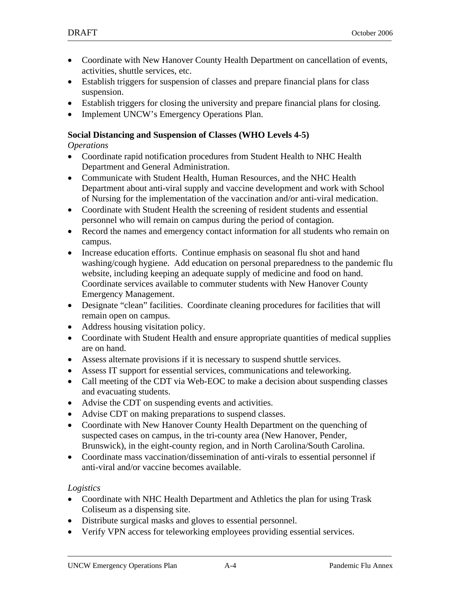- Coordinate with New Hanover County Health Department on cancellation of events, activities, shuttle services, etc.
- Establish triggers for suspension of classes and prepare financial plans for class suspension.
- Establish triggers for closing the university and prepare financial plans for closing.
- Implement UNCW's Emergency Operations Plan.

#### **Social Distancing and Suspension of Classes (WHO Levels 4-5)**

#### *Operations*

- Coordinate rapid notification procedures from Student Health to NHC Health Department and General Administration.
- Communicate with Student Health, Human Resources, and the NHC Health Department about anti-viral supply and vaccine development and work with School of Nursing for the implementation of the vaccination and/or anti-viral medication.
- Coordinate with Student Health the screening of resident students and essential personnel who will remain on campus during the period of contagion.
- Record the names and emergency contact information for all students who remain on campus.
- Increase education efforts. Continue emphasis on seasonal flu shot and hand washing/cough hygiene. Add education on personal preparedness to the pandemic flu website, including keeping an adequate supply of medicine and food on hand. Coordinate services available to commuter students with New Hanover County Emergency Management.
- Designate "clean" facilities. Coordinate cleaning procedures for facilities that will remain open on campus.
- Address housing visitation policy.
- Coordinate with Student Health and ensure appropriate quantities of medical supplies are on hand.
- Assess alternate provisions if it is necessary to suspend shuttle services.
- Assess IT support for essential services, communications and teleworking.
- Call meeting of the CDT via Web-EOC to make a decision about suspending classes and evacuating students.
- Advise the CDT on suspending events and activities.
- Advise CDT on making preparations to suspend classes.
- Coordinate with New Hanover County Health Department on the quenching of suspected cases on campus, in the tri-county area (New Hanover, Pender, Brunswick), in the eight-county region, and in North Carolina/South Carolina.
- Coordinate mass vaccination/dissemination of anti-virals to essential personnel if anti-viral and/or vaccine becomes available.

### *Logistics*

- Coordinate with NHC Health Department and Athletics the plan for using Trask Coliseum as a dispensing site.
- Distribute surgical masks and gloves to essential personnel.
- Verify VPN access for teleworking employees providing essential services.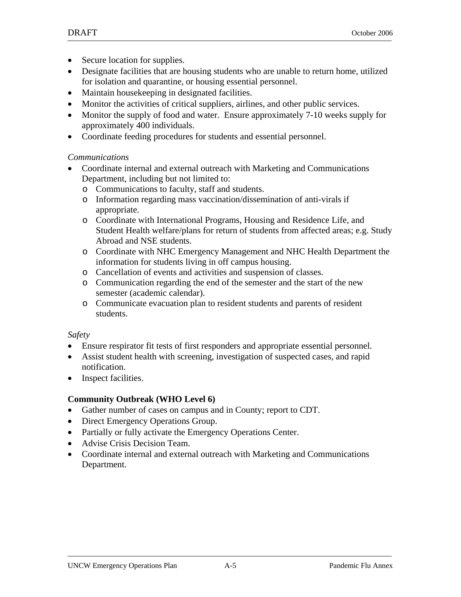- Secure location for supplies.
- Designate facilities that are housing students who are unable to return home, utilized for isolation and quarantine, or housing essential personnel.
- Maintain housekeeping in designated facilities.
- Monitor the activities of critical suppliers, airlines, and other public services.
- Monitor the supply of food and water. Ensure approximately 7-10 weeks supply for approximately 400 individuals.
- Coordinate feeding procedures for students and essential personnel.

#### *Communications*

- Coordinate internal and external outreach with Marketing and Communications Department, including but not limited to:
	- o Communications to faculty, staff and students.
	- o Information regarding mass vaccination/dissemination of anti-virals if appropriate.
	- o Coordinate with International Programs, Housing and Residence Life, and Student Health welfare/plans for return of students from affected areas; e.g. Study Abroad and NSE students.
	- o Coordinate with NHC Emergency Management and NHC Health Department the information for students living in off campus housing.
	- o Cancellation of events and activities and suspension of classes.
	- o Communication regarding the end of the semester and the start of the new semester (academic calendar).
	- o Communicate evacuation plan to resident students and parents of resident students.

#### *Safety*

- Ensure respirator fit tests of first responders and appropriate essential personnel.
- Assist student health with screening, investigation of suspected cases, and rapid notification.
- Inspect facilities.

- Gather number of cases on campus and in County; report to CDT.
- Direct Emergency Operations Group.
- Partially or fully activate the Emergency Operations Center.
- Advise Crisis Decision Team.
- Coordinate internal and external outreach with Marketing and Communications Department.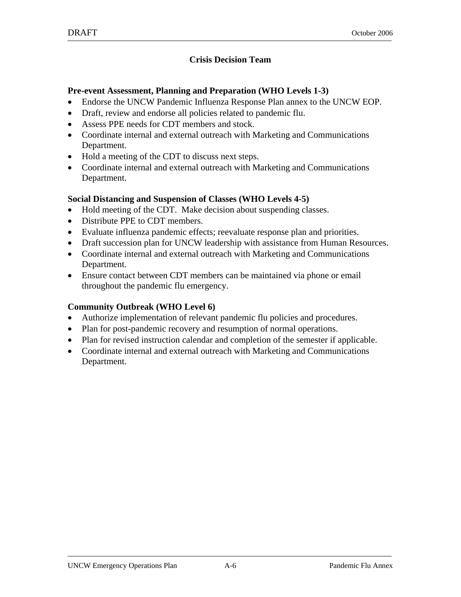#### **Crisis Decision Team**

#### **Pre-event Assessment, Planning and Preparation (WHO Levels 1-3)**

- Endorse the UNCW Pandemic Influenza Response Plan annex to the UNCW EOP.
- Draft, review and endorse all policies related to pandemic flu.
- Assess PPE needs for CDT members and stock.
- Coordinate internal and external outreach with Marketing and Communications Department.
- Hold a meeting of the CDT to discuss next steps.
- Coordinate internal and external outreach with Marketing and Communications Department.

#### **Social Distancing and Suspension of Classes (WHO Levels 4-5)**

- Hold meeting of the CDT. Make decision about suspending classes.
- Distribute PPE to CDT members.
- Evaluate influenza pandemic effects; reevaluate response plan and priorities.
- Draft succession plan for UNCW leadership with assistance from Human Resources.
- Coordinate internal and external outreach with Marketing and Communications Department.
- Ensure contact between CDT members can be maintained via phone or email throughout the pandemic flu emergency.

- Authorize implementation of relevant pandemic flu policies and procedures.
- Plan for post-pandemic recovery and resumption of normal operations.
- Plan for revised instruction calendar and completion of the semester if applicable.
- Coordinate internal and external outreach with Marketing and Communications Department.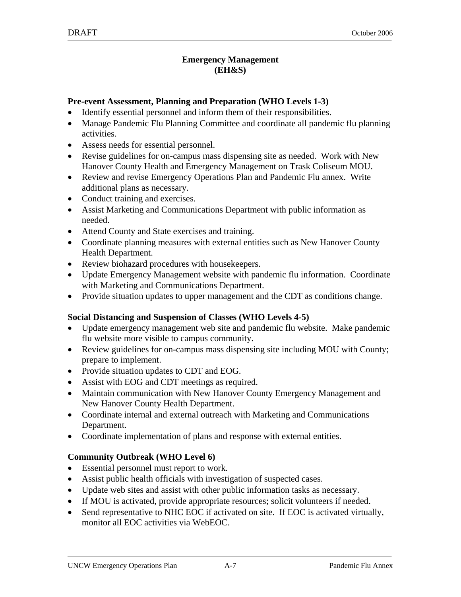#### **Emergency Management (EH&S)**

#### **Pre-event Assessment, Planning and Preparation (WHO Levels 1-3)**

- Identify essential personnel and inform them of their responsibilities.
- Manage Pandemic Flu Planning Committee and coordinate all pandemic flu planning activities.
- Assess needs for essential personnel.
- Revise guidelines for on-campus mass dispensing site as needed. Work with New Hanover County Health and Emergency Management on Trask Coliseum MOU.
- Review and revise Emergency Operations Plan and Pandemic Flu annex. Write additional plans as necessary.
- Conduct training and exercises.
- Assist Marketing and Communications Department with public information as needed.
- Attend County and State exercises and training.
- Coordinate planning measures with external entities such as New Hanover County Health Department.
- Review biohazard procedures with housekeepers.
- Update Emergency Management website with pandemic flu information. Coordinate with Marketing and Communications Department.
- Provide situation updates to upper management and the CDT as conditions change.

### **Social Distancing and Suspension of Classes (WHO Levels 4-5)**

- Update emergency management web site and pandemic flu website. Make pandemic flu website more visible to campus community.
- Review guidelines for on-campus mass dispensing site including MOU with County; prepare to implement.
- Provide situation updates to CDT and EOG.
- Assist with EOG and CDT meetings as required.
- Maintain communication with New Hanover County Emergency Management and New Hanover County Health Department.
- Coordinate internal and external outreach with Marketing and Communications Department.
- Coordinate implementation of plans and response with external entities.

- Essential personnel must report to work.
- Assist public health officials with investigation of suspected cases.
- Update web sites and assist with other public information tasks as necessary.
- If MOU is activated, provide appropriate resources; solicit volunteers if needed.
- Send representative to NHC EOC if activated on site. If EOC is activated virtually, monitor all EOC activities via WebEOC.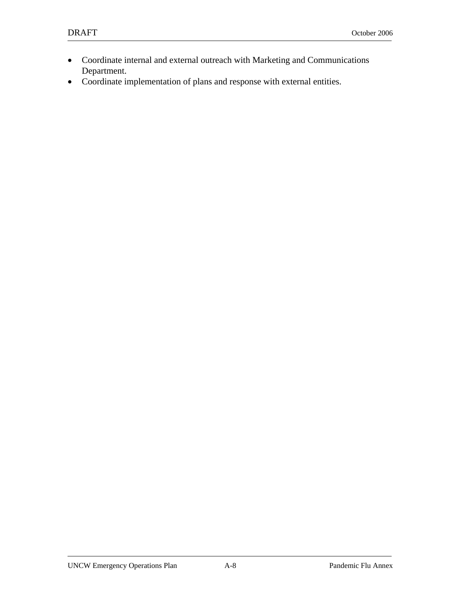- Coordinate internal and external outreach with Marketing and Communications Department.
- Coordinate implementation of plans and response with external entities.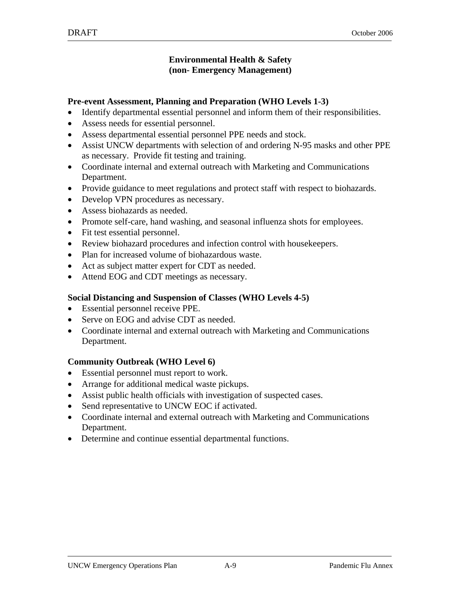#### **Environmental Health & Safety (non- Emergency Management)**

#### **Pre-event Assessment, Planning and Preparation (WHO Levels 1-3)**

- Identify departmental essential personnel and inform them of their responsibilities.
- Assess needs for essential personnel.
- Assess departmental essential personnel PPE needs and stock.
- Assist UNCW departments with selection of and ordering N-95 masks and other PPE as necessary. Provide fit testing and training.
- Coordinate internal and external outreach with Marketing and Communications Department.
- Provide guidance to meet regulations and protect staff with respect to biohazards.
- Develop VPN procedures as necessary.
- Assess biohazards as needed.
- Promote self-care, hand washing, and seasonal influenza shots for employees.
- Fit test essential personnel.
- Review biohazard procedures and infection control with housekeepers.
- Plan for increased volume of biohazardous waste.
- Act as subject matter expert for CDT as needed.
- Attend EOG and CDT meetings as necessary.

### **Social Distancing and Suspension of Classes (WHO Levels 4-5)**

- Essential personnel receive PPE.
- Serve on EOG and advise CDT as needed.
- Coordinate internal and external outreach with Marketing and Communications Department.

- Essential personnel must report to work.
- Arrange for additional medical waste pickups.
- Assist public health officials with investigation of suspected cases.
- Send representative to UNCW EOC if activated.
- Coordinate internal and external outreach with Marketing and Communications Department.
- Determine and continue essential departmental functions.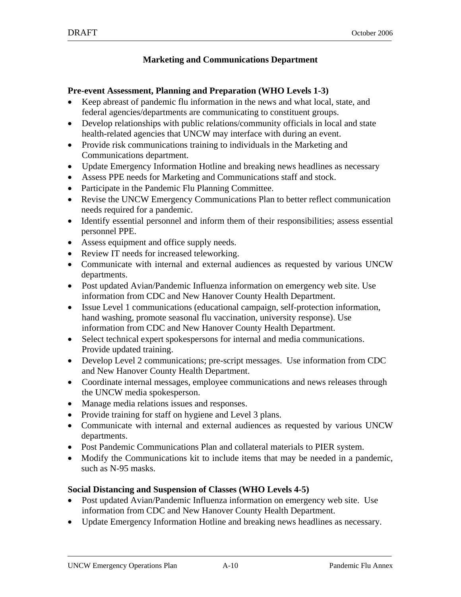#### **Marketing and Communications Department**

#### **Pre-event Assessment, Planning and Preparation (WHO Levels 1-3)**

- Keep abreast of pandemic flu information in the news and what local, state, and federal agencies/departments are communicating to constituent groups.
- Develop relationships with public relations/community officials in local and state health-related agencies that UNCW may interface with during an event.
- Provide risk communications training to individuals in the Marketing and Communications department.
- Update Emergency Information Hotline and breaking news headlines as necessary
- Assess PPE needs for Marketing and Communications staff and stock.
- Participate in the Pandemic Flu Planning Committee.
- Revise the UNCW Emergency Communications Plan to better reflect communication needs required for a pandemic.
- Identify essential personnel and inform them of their responsibilities; assess essential personnel PPE.
- Assess equipment and office supply needs.
- Review IT needs for increased teleworking.
- Communicate with internal and external audiences as requested by various UNCW departments.
- Post updated Avian/Pandemic Influenza information on emergency web site. Use information from CDC and New Hanover County Health Department.
- Issue Level 1 communications (educational campaign, self-protection information, hand washing, promote seasonal flu vaccination, university response). Use information from CDC and New Hanover County Health Department.
- Select technical expert spokespersons for internal and media communications. Provide updated training.
- Develop Level 2 communications; pre-script messages. Use information from CDC and New Hanover County Health Department.
- Coordinate internal messages, employee communications and news releases through the UNCW media spokesperson.
- Manage media relations issues and responses.
- Provide training for staff on hygiene and Level 3 plans.
- Communicate with internal and external audiences as requested by various UNCW departments.
- Post Pandemic Communications Plan and collateral materials to PIER system.
- Modify the Communications kit to include items that may be needed in a pandemic, such as N-95 masks.

#### **Social Distancing and Suspension of Classes (WHO Levels 4-5)**

- Post updated Avian/Pandemic Influenza information on emergency web site. Use information from CDC and New Hanover County Health Department.
- Update Emergency Information Hotline and breaking news headlines as necessary.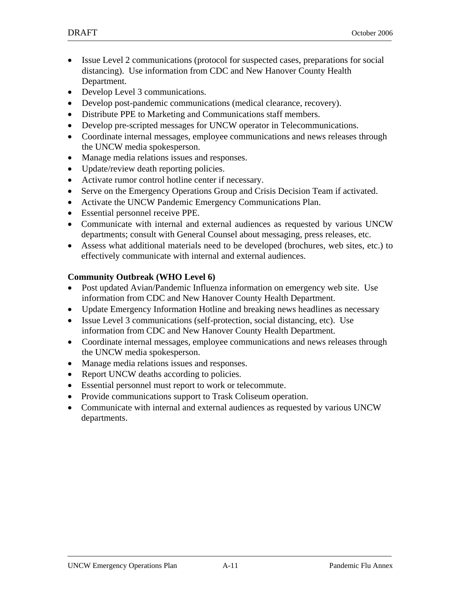- Issue Level 2 communications (protocol for suspected cases, preparations for social distancing). Use information from CDC and New Hanover County Health Department.
- Develop Level 3 communications.
- Develop post-pandemic communications (medical clearance, recovery).
- Distribute PPE to Marketing and Communications staff members.
- Develop pre-scripted messages for UNCW operator in Telecommunications.
- Coordinate internal messages, employee communications and news releases through the UNCW media spokesperson.
- Manage media relations issues and responses.
- Update/review death reporting policies.
- Activate rumor control hotline center if necessary.
- Serve on the Emergency Operations Group and Crisis Decision Team if activated.
- Activate the UNCW Pandemic Emergency Communications Plan.
- Essential personnel receive PPE.
- Communicate with internal and external audiences as requested by various UNCW departments; consult with General Counsel about messaging, press releases, etc.
- Assess what additional materials need to be developed (brochures, web sites, etc.) to effectively communicate with internal and external audiences.

- Post updated Avian/Pandemic Influenza information on emergency web site. Use information from CDC and New Hanover County Health Department.
- Update Emergency Information Hotline and breaking news headlines as necessary
- Issue Level 3 communications (self-protection, social distancing, etc). Use information from CDC and New Hanover County Health Department.
- Coordinate internal messages, employee communications and news releases through the UNCW media spokesperson.
- Manage media relations issues and responses.
- Report UNCW deaths according to policies.
- Essential personnel must report to work or telecommute.
- Provide communications support to Trask Coliseum operation.
- Communicate with internal and external audiences as requested by various UNCW departments.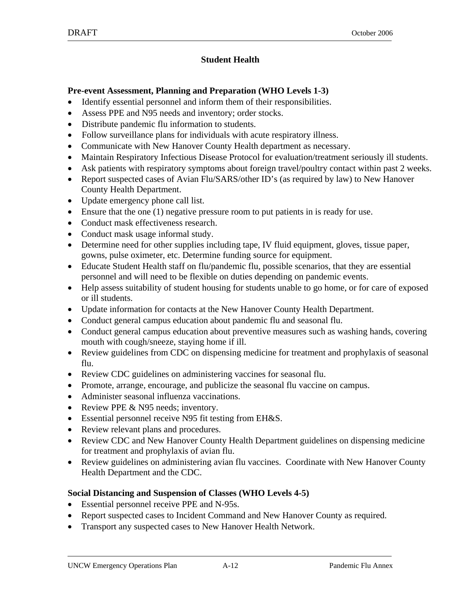### **Student Health**

#### **Pre-event Assessment, Planning and Preparation (WHO Levels 1-3)**

- Identify essential personnel and inform them of their responsibilities.
- Assess PPE and N95 needs and inventory; order stocks.
- Distribute pandemic flu information to students.
- Follow surveillance plans for individuals with acute respiratory illness.
- Communicate with New Hanover County Health department as necessary.
- Maintain Respiratory Infectious Disease Protocol for evaluation/treatment seriously ill students.
- Ask patients with respiratory symptoms about foreign travel/poultry contact within past 2 weeks.
- Report suspected cases of Avian Flu/SARS/other ID's (as required by law) to New Hanover County Health Department.
- Update emergency phone call list.
- Ensure that the one (1) negative pressure room to put patients in is ready for use.
- Conduct mask effectiveness research.
- Conduct mask usage informal study.
- Determine need for other supplies including tape, IV fluid equipment, gloves, tissue paper, gowns, pulse oximeter, etc. Determine funding source for equipment.
- Educate Student Health staff on flu/pandemic flu, possible scenarios, that they are essential personnel and will need to be flexible on duties depending on pandemic events.
- Help assess suitability of student housing for students unable to go home, or for care of exposed or ill students.
- Update information for contacts at the New Hanover County Health Department.
- Conduct general campus education about pandemic flu and seasonal flu.
- Conduct general campus education about preventive measures such as washing hands, covering mouth with cough/sneeze, staying home if ill.
- Review guidelines from CDC on dispensing medicine for treatment and prophylaxis of seasonal flu.
- Review CDC guidelines on administering vaccines for seasonal flu.
- Promote, arrange, encourage, and publicize the seasonal flu vaccine on campus.
- Administer seasonal influenza vaccinations.
- Review PPE & N95 needs; inventory.
- Essential personnel receive N95 fit testing from EH&S.
- Review relevant plans and procedures.
- Review CDC and New Hanover County Health Department guidelines on dispensing medicine for treatment and prophylaxis of avian flu.
- Review guidelines on administering avian flu vaccines. Coordinate with New Hanover County Health Department and the CDC.

### **Social Distancing and Suspension of Classes (WHO Levels 4-5)**

- Essential personnel receive PPE and N-95s.
- Report suspected cases to Incident Command and New Hanover County as required.
- Transport any suspected cases to New Hanover Health Network.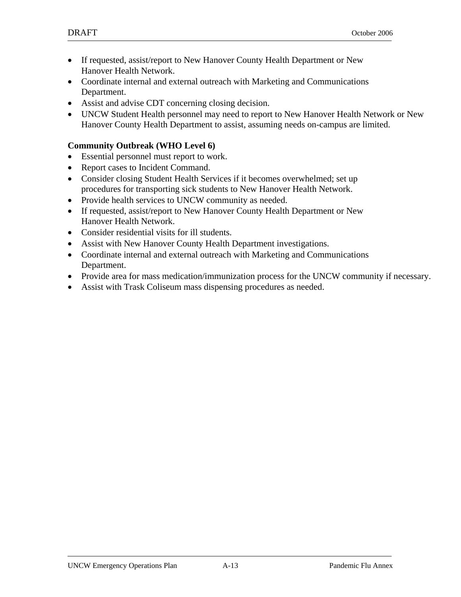- If requested, assist/report to New Hanover County Health Department or New Hanover Health Network.
- Coordinate internal and external outreach with Marketing and Communications Department.
- Assist and advise CDT concerning closing decision.
- UNCW Student Health personnel may need to report to New Hanover Health Network or New Hanover County Health Department to assist, assuming needs on-campus are limited.

- Essential personnel must report to work.
- Report cases to Incident Command.
- Consider closing Student Health Services if it becomes overwhelmed; set up procedures for transporting sick students to New Hanover Health Network.
- Provide health services to UNCW community as needed.
- If requested, assist/report to New Hanover County Health Department or New Hanover Health Network.
- Consider residential visits for ill students.
- Assist with New Hanover County Health Department investigations.
- Coordinate internal and external outreach with Marketing and Communications Department.
- Provide area for mass medication/immunization process for the UNCW community if necessary.
- Assist with Trask Coliseum mass dispensing procedures as needed.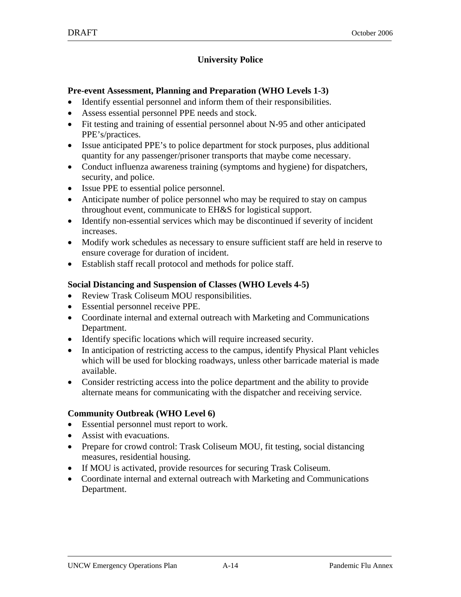### **University Police**

#### **Pre-event Assessment, Planning and Preparation (WHO Levels 1-3)**

- Identify essential personnel and inform them of their responsibilities.
- Assess essential personnel PPE needs and stock.
- Fit testing and training of essential personnel about N-95 and other anticipated PPE's/practices.
- Issue anticipated PPE's to police department for stock purposes, plus additional quantity for any passenger/prisoner transports that maybe come necessary.
- Conduct influenza awareness training (symptoms and hygiene) for dispatchers, security, and police.
- Issue PPE to essential police personnel.
- Anticipate number of police personnel who may be required to stay on campus throughout event, communicate to EH&S for logistical support.
- Identify non-essential services which may be discontinued if severity of incident increases.
- Modify work schedules as necessary to ensure sufficient staff are held in reserve to ensure coverage for duration of incident.
- Establish staff recall protocol and methods for police staff.

#### **Social Distancing and Suspension of Classes (WHO Levels 4-5)**

- Review Trask Coliseum MOU responsibilities.
- Essential personnel receive PPE.
- Coordinate internal and external outreach with Marketing and Communications Department.
- Identify specific locations which will require increased security.
- In anticipation of restricting access to the campus, identify Physical Plant vehicles which will be used for blocking roadways, unless other barricade material is made available.
- Consider restricting access into the police department and the ability to provide alternate means for communicating with the dispatcher and receiving service.

- Essential personnel must report to work.
- Assist with evacuations.
- Prepare for crowd control: Trask Coliseum MOU, fit testing, social distancing measures, residential housing.
- If MOU is activated, provide resources for securing Trask Coliseum.
- Coordinate internal and external outreach with Marketing and Communications Department.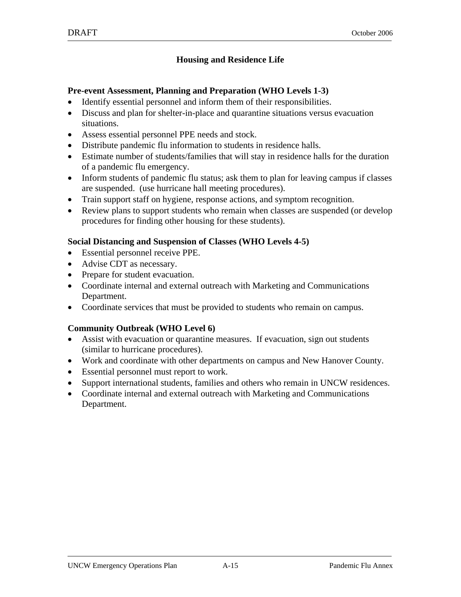### **Housing and Residence Life**

#### **Pre-event Assessment, Planning and Preparation (WHO Levels 1-3)**

- Identify essential personnel and inform them of their responsibilities.
- Discuss and plan for shelter-in-place and quarantine situations versus evacuation situations.
- Assess essential personnel PPE needs and stock.
- Distribute pandemic flu information to students in residence halls.
- Estimate number of students/families that will stay in residence halls for the duration of a pandemic flu emergency.
- Inform students of pandemic flu status; ask them to plan for leaving campus if classes are suspended. (use hurricane hall meeting procedures).
- Train support staff on hygiene, response actions, and symptom recognition.
- Review plans to support students who remain when classes are suspended (or develop procedures for finding other housing for these students).

#### **Social Distancing and Suspension of Classes (WHO Levels 4-5)**

- Essential personnel receive PPE.
- Advise CDT as necessary.
- Prepare for student evacuation.
- Coordinate internal and external outreach with Marketing and Communications Department.
- Coordinate services that must be provided to students who remain on campus.

- Assist with evacuation or quarantine measures. If evacuation, sign out students (similar to hurricane procedures).
- Work and coordinate with other departments on campus and New Hanover County.
- Essential personnel must report to work.
- Support international students, families and others who remain in UNCW residences.
- Coordinate internal and external outreach with Marketing and Communications Department.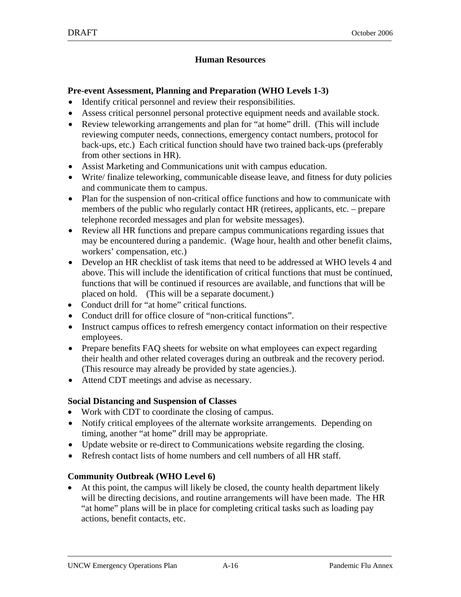#### **Human Resources**

#### **Pre-event Assessment, Planning and Preparation (WHO Levels 1-3)**

- Identify critical personnel and review their responsibilities.
- Assess critical personnel personal protective equipment needs and available stock.
- Review teleworking arrangements and plan for "at home" drill. (This will include reviewing computer needs, connections, emergency contact numbers, protocol for back-ups, etc.) Each critical function should have two trained back-ups (preferably from other sections in HR).
- Assist Marketing and Communications unit with campus education.
- Write/ finalize teleworking, communicable disease leave, and fitness for duty policies and communicate them to campus.
- Plan for the suspension of non-critical office functions and how to communicate with members of the public who regularly contact HR (retirees, applicants, etc. – prepare telephone recorded messages and plan for website messages).
- Review all HR functions and prepare campus communications regarding issues that may be encountered during a pandemic. (Wage hour, health and other benefit claims, workers' compensation, etc.)
- Develop an HR checklist of task items that need to be addressed at WHO levels 4 and above. This will include the identification of critical functions that must be continued, functions that will be continued if resources are available, and functions that will be placed on hold. (This will be a separate document.)
- Conduct drill for "at home" critical functions.
- Conduct drill for office closure of "non-critical functions".
- Instruct campus offices to refresh emergency contact information on their respective employees.
- Prepare benefits FAQ sheets for website on what employees can expect regarding their health and other related coverages during an outbreak and the recovery period. (This resource may already be provided by state agencies.).
- Attend CDT meetings and advise as necessary.

#### **Social Distancing and Suspension of Classes**

- Work with CDT to coordinate the closing of campus.
- Notify critical employees of the alternate worksite arrangements. Depending on timing, another "at home" drill may be appropriate.
- Update website or re-direct to Communications website regarding the closing.
- Refresh contact lists of home numbers and cell numbers of all HR staff.

### **Community Outbreak (WHO Level 6)**

• At this point, the campus will likely be closed, the county health department likely will be directing decisions, and routine arrangements will have been made. The HR "at home" plans will be in place for completing critical tasks such as loading pay actions, benefit contacts, etc.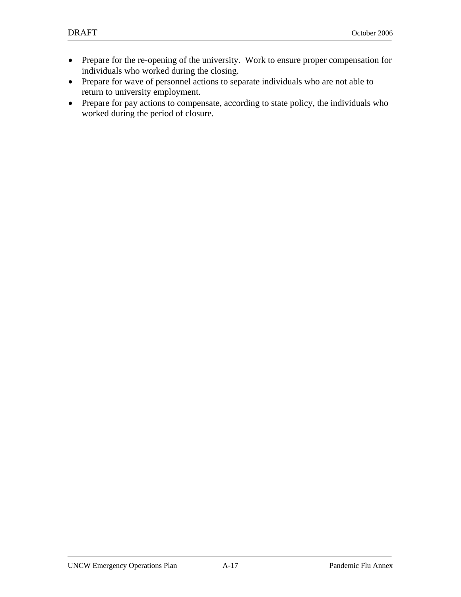- Prepare for the re-opening of the university. Work to ensure proper compensation for individuals who worked during the closing.
- Prepare for wave of personnel actions to separate individuals who are not able to return to university employment.
- Prepare for pay actions to compensate, according to state policy, the individuals who worked during the period of closure.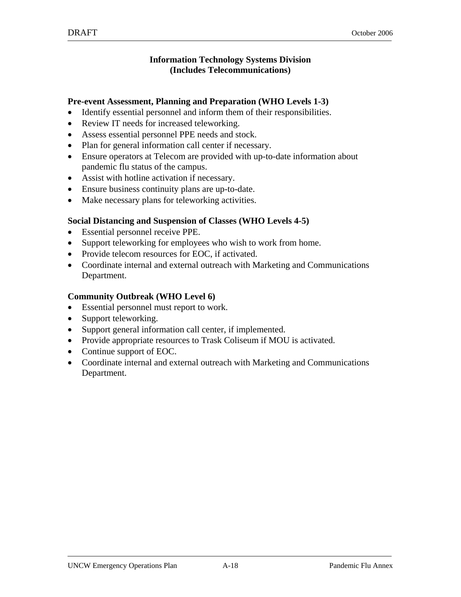#### **Information Technology Systems Division (Includes Telecommunications)**

#### **Pre-event Assessment, Planning and Preparation (WHO Levels 1-3)**

- Identify essential personnel and inform them of their responsibilities.
- Review IT needs for increased teleworking.
- Assess essential personnel PPE needs and stock.
- Plan for general information call center if necessary.
- Ensure operators at Telecom are provided with up-to-date information about pandemic flu status of the campus.
- Assist with hotline activation if necessary.
- Ensure business continuity plans are up-to-date.
- Make necessary plans for teleworking activities.

#### **Social Distancing and Suspension of Classes (WHO Levels 4-5)**

- Essential personnel receive PPE.
- Support teleworking for employees who wish to work from home.
- Provide telecom resources for EOC, if activated.
- Coordinate internal and external outreach with Marketing and Communications Department.

- Essential personnel must report to work.
- Support teleworking.
- Support general information call center, if implemented.
- Provide appropriate resources to Trask Coliseum if MOU is activated.
- Continue support of EOC.
- Coordinate internal and external outreach with Marketing and Communications Department.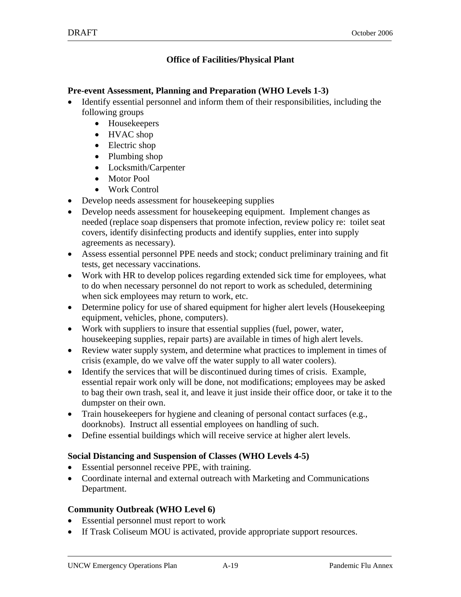#### **Office of Facilities/Physical Plant**

#### **Pre-event Assessment, Planning and Preparation (WHO Levels 1-3)**

- Identify essential personnel and inform them of their responsibilities, including the following groups
	- Housekeepers
	- HVAC shop
	- Electric shop
	- Plumbing shop
	- Locksmith/Carpenter
	- Motor Pool
	- Work Control
- Develop needs assessment for housekeeping supplies
- Develop needs assessment for housekeeping equipment. Implement changes as needed (replace soap dispensers that promote infection, review policy re: toilet seat covers, identify disinfecting products and identify supplies, enter into supply agreements as necessary).
- Assess essential personnel PPE needs and stock; conduct preliminary training and fit tests, get necessary vaccinations.
- Work with HR to develop polices regarding extended sick time for employees, what to do when necessary personnel do not report to work as scheduled, determining when sick employees may return to work, etc.
- Determine policy for use of shared equipment for higher alert levels (Housekeeping equipment, vehicles, phone, computers).
- Work with suppliers to insure that essential supplies (fuel, power, water, housekeeping supplies, repair parts) are available in times of high alert levels.
- Review water supply system, and determine what practices to implement in times of crisis (example, do we valve off the water supply to all water coolers).
- Identify the services that will be discontinued during times of crisis. Example, essential repair work only will be done, not modifications; employees may be asked to bag their own trash, seal it, and leave it just inside their office door, or take it to the dumpster on their own.
- Train housekeepers for hygiene and cleaning of personal contact surfaces (e.g., doorknobs). Instruct all essential employees on handling of such.
- Define essential buildings which will receive service at higher alert levels.

#### **Social Distancing and Suspension of Classes (WHO Levels 4-5)**

- Essential personnel receive PPE, with training.
- Coordinate internal and external outreach with Marketing and Communications Department.

- Essential personnel must report to work
- If Trask Coliseum MOU is activated, provide appropriate support resources.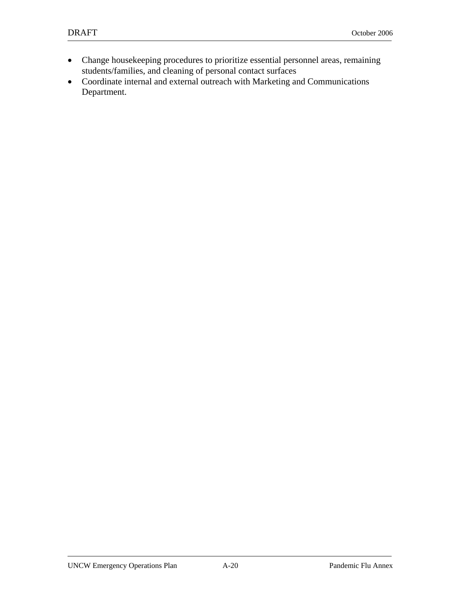- Change housekeeping procedures to prioritize essential personnel areas, remaining students/families, and cleaning of personal contact surfaces
- Coordinate internal and external outreach with Marketing and Communications Department.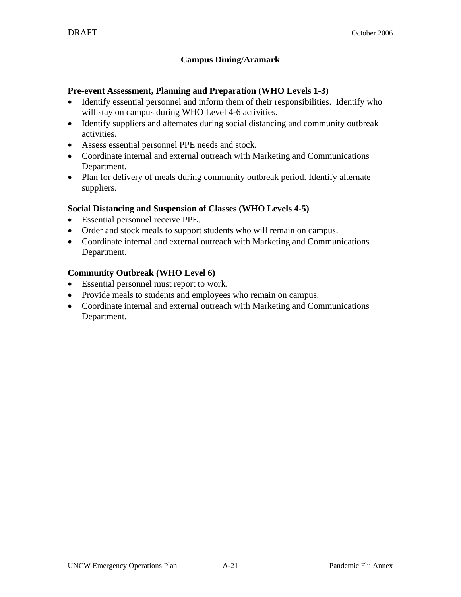#### **Campus Dining/Aramark**

#### **Pre-event Assessment, Planning and Preparation (WHO Levels 1-3)**

- Identify essential personnel and inform them of their responsibilities. Identify who will stay on campus during WHO Level 4-6 activities.
- Identify suppliers and alternates during social distancing and community outbreak activities.
- Assess essential personnel PPE needs and stock.
- Coordinate internal and external outreach with Marketing and Communications Department.
- Plan for delivery of meals during community outbreak period. Identify alternate suppliers.

#### **Social Distancing and Suspension of Classes (WHO Levels 4-5)**

- Essential personnel receive PPE.
- Order and stock meals to support students who will remain on campus.
- Coordinate internal and external outreach with Marketing and Communications Department.

- Essential personnel must report to work.
- Provide meals to students and employees who remain on campus.
- Coordinate internal and external outreach with Marketing and Communications Department.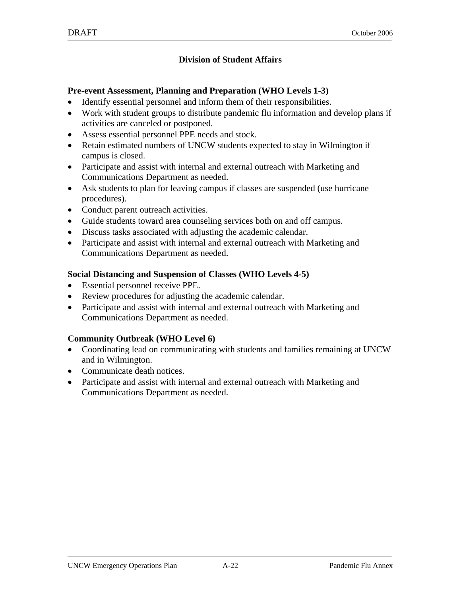### **Division of Student Affairs**

#### **Pre-event Assessment, Planning and Preparation (WHO Levels 1-3)**

- Identify essential personnel and inform them of their responsibilities.
- Work with student groups to distribute pandemic flu information and develop plans if activities are canceled or postponed.
- Assess essential personnel PPE needs and stock.
- Retain estimated numbers of UNCW students expected to stay in Wilmington if campus is closed.
- Participate and assist with internal and external outreach with Marketing and Communications Department as needed.
- Ask students to plan for leaving campus if classes are suspended (use hurricane procedures).
- Conduct parent outreach activities.
- Guide students toward area counseling services both on and off campus.
- Discuss tasks associated with adjusting the academic calendar.
- Participate and assist with internal and external outreach with Marketing and Communications Department as needed.

#### **Social Distancing and Suspension of Classes (WHO Levels 4-5)**

- Essential personnel receive PPE.
- Review procedures for adjusting the academic calendar.
- Participate and assist with internal and external outreach with Marketing and Communications Department as needed.

- Coordinating lead on communicating with students and families remaining at UNCW and in Wilmington.
- Communicate death notices.
- Participate and assist with internal and external outreach with Marketing and Communications Department as needed.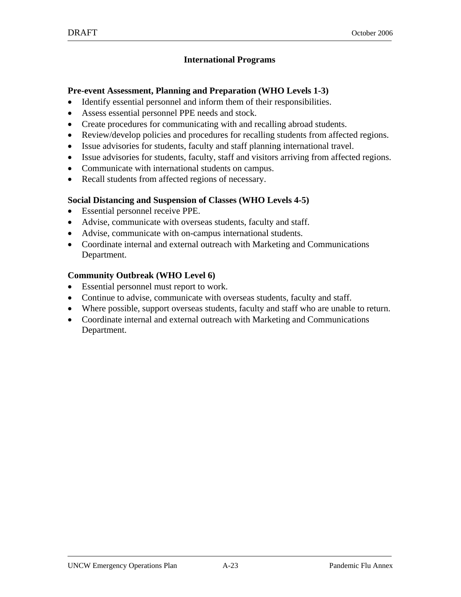#### **International Programs**

#### **Pre-event Assessment, Planning and Preparation (WHO Levels 1-3)**

- Identify essential personnel and inform them of their responsibilities.
- Assess essential personnel PPE needs and stock.
- Create procedures for communicating with and recalling abroad students.
- Review/develop policies and procedures for recalling students from affected regions.
- Issue advisories for students, faculty and staff planning international travel.
- Issue advisories for students, faculty, staff and visitors arriving from affected regions.
- Communicate with international students on campus.
- Recall students from affected regions of necessary.

#### **Social Distancing and Suspension of Classes (WHO Levels 4-5)**

- Essential personnel receive PPE.
- Advise, communicate with overseas students, faculty and staff.
- Advise, communicate with on-campus international students.
- Coordinate internal and external outreach with Marketing and Communications Department.

- Essential personnel must report to work.
- Continue to advise, communicate with overseas students, faculty and staff.
- Where possible, support overseas students, faculty and staff who are unable to return.
- Coordinate internal and external outreach with Marketing and Communications Department.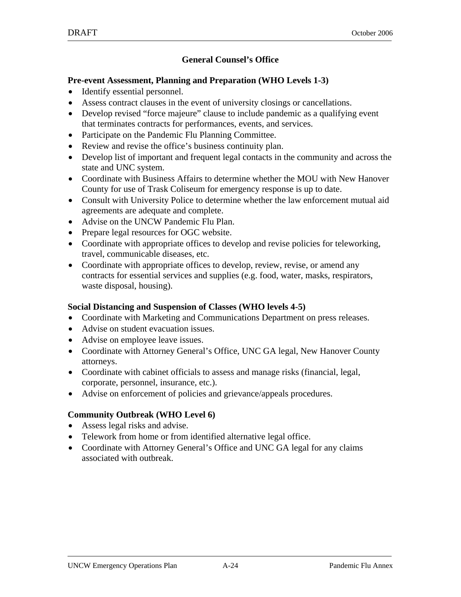#### **General Counsel's Office**

#### **Pre-event Assessment, Planning and Preparation (WHO Levels 1-3)**

- Identify essential personnel.
- Assess contract clauses in the event of university closings or cancellations.
- Develop revised "force majeure" clause to include pandemic as a qualifying event that terminates contracts for performances, events, and services.
- Participate on the Pandemic Flu Planning Committee.
- Review and revise the office's business continuity plan.
- Develop list of important and frequent legal contacts in the community and across the state and UNC system.
- Coordinate with Business Affairs to determine whether the MOU with New Hanover County for use of Trask Coliseum for emergency response is up to date.
- Consult with University Police to determine whether the law enforcement mutual aid agreements are adequate and complete.
- Advise on the UNCW Pandemic Flu Plan.
- Prepare legal resources for OGC website.
- Coordinate with appropriate offices to develop and revise policies for teleworking, travel, communicable diseases, etc.
- Coordinate with appropriate offices to develop, review, revise, or amend any contracts for essential services and supplies (e.g. food, water, masks, respirators, waste disposal, housing).

#### **Social Distancing and Suspension of Classes (WHO levels 4-5)**

- Coordinate with Marketing and Communications Department on press releases.
- Advise on student evacuation issues.
- Advise on employee leave issues.
- Coordinate with Attorney General's Office, UNC GA legal, New Hanover County attorneys.
- Coordinate with cabinet officials to assess and manage risks (financial, legal, corporate, personnel, insurance, etc.).
- Advise on enforcement of policies and grievance/appeals procedures.

- Assess legal risks and advise.
- Telework from home or from identified alternative legal office.
- Coordinate with Attorney General's Office and UNC GA legal for any claims associated with outbreak.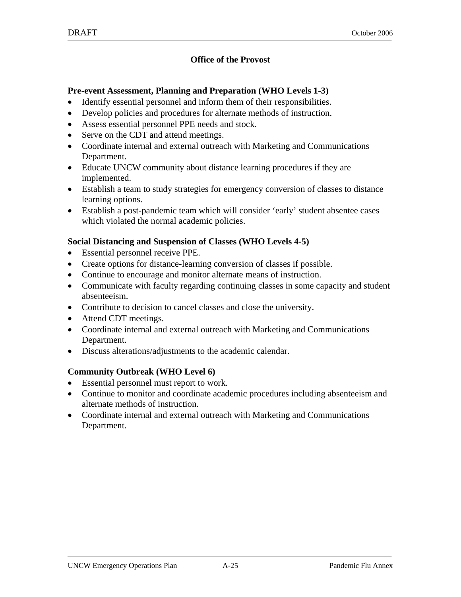#### **Office of the Provost**

#### **Pre-event Assessment, Planning and Preparation (WHO Levels 1-3)**

- Identify essential personnel and inform them of their responsibilities.
- Develop policies and procedures for alternate methods of instruction.
- Assess essential personnel PPE needs and stock.
- Serve on the CDT and attend meetings.
- Coordinate internal and external outreach with Marketing and Communications Department.
- Educate UNCW community about distance learning procedures if they are implemented.
- Establish a team to study strategies for emergency conversion of classes to distance learning options.
- Establish a post-pandemic team which will consider 'early' student absentee cases which violated the normal academic policies.

#### **Social Distancing and Suspension of Classes (WHO Levels 4-5)**

- Essential personnel receive PPE.
- Create options for distance-learning conversion of classes if possible.
- Continue to encourage and monitor alternate means of instruction.
- Communicate with faculty regarding continuing classes in some capacity and student absenteeism.
- Contribute to decision to cancel classes and close the university.
- Attend CDT meetings.
- Coordinate internal and external outreach with Marketing and Communications Department.
- Discuss alterations/adjustments to the academic calendar.

- Essential personnel must report to work.
- Continue to monitor and coordinate academic procedures including absenteeism and alternate methods of instruction.
- Coordinate internal and external outreach with Marketing and Communications Department.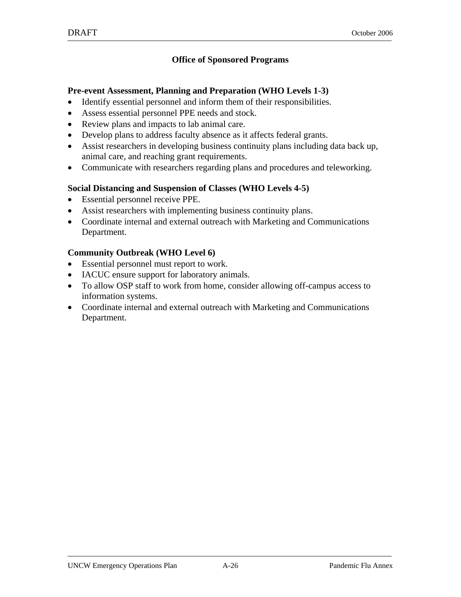#### **Office of Sponsored Programs**

#### **Pre-event Assessment, Planning and Preparation (WHO Levels 1-3)**

- Identify essential personnel and inform them of their responsibilities.
- Assess essential personnel PPE needs and stock.
- Review plans and impacts to lab animal care.
- Develop plans to address faculty absence as it affects federal grants.
- Assist researchers in developing business continuity plans including data back up, animal care, and reaching grant requirements.
- Communicate with researchers regarding plans and procedures and teleworking.

#### **Social Distancing and Suspension of Classes (WHO Levels 4-5)**

- Essential personnel receive PPE.
- Assist researchers with implementing business continuity plans.
- Coordinate internal and external outreach with Marketing and Communications Department.

- Essential personnel must report to work.
- IACUC ensure support for laboratory animals.
- To allow OSP staff to work from home, consider allowing off-campus access to information systems.
- Coordinate internal and external outreach with Marketing and Communications Department.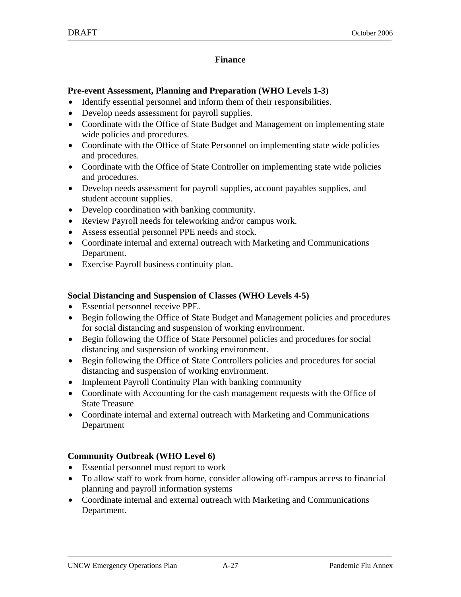#### **Finance**

#### **Pre-event Assessment, Planning and Preparation (WHO Levels 1-3)**

- Identify essential personnel and inform them of their responsibilities.
- Develop needs assessment for payroll supplies.
- Coordinate with the Office of State Budget and Management on implementing state wide policies and procedures.
- Coordinate with the Office of State Personnel on implementing state wide policies and procedures.
- Coordinate with the Office of State Controller on implementing state wide policies and procedures.
- Develop needs assessment for payroll supplies, account payables supplies, and student account supplies.
- Develop coordination with banking community.
- Review Payroll needs for teleworking and/or campus work.
- Assess essential personnel PPE needs and stock.
- Coordinate internal and external outreach with Marketing and Communications Department.
- Exercise Payroll business continuity plan.

#### **Social Distancing and Suspension of Classes (WHO Levels 4-5)**

- Essential personnel receive PPE.
- Begin following the Office of State Budget and Management policies and procedures for social distancing and suspension of working environment.
- Begin following the Office of State Personnel policies and procedures for social distancing and suspension of working environment.
- Begin following the Office of State Controllers policies and procedures for social distancing and suspension of working environment.
- Implement Payroll Continuity Plan with banking community
- Coordinate with Accounting for the cash management requests with the Office of State Treasure
- Coordinate internal and external outreach with Marketing and Communications Department

- Essential personnel must report to work
- To allow staff to work from home, consider allowing off-campus access to financial planning and payroll information systems
- Coordinate internal and external outreach with Marketing and Communications Department.